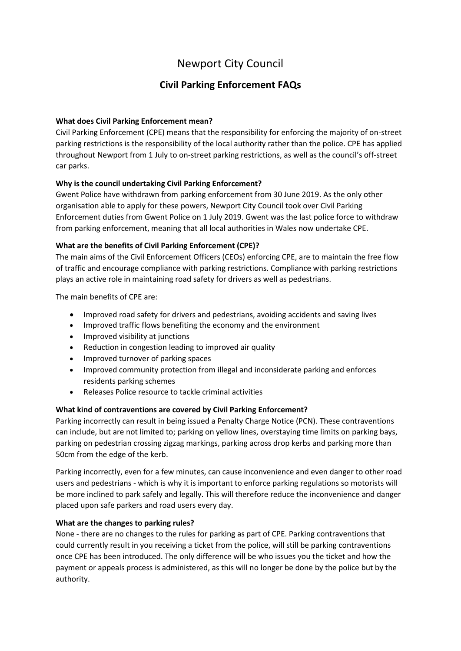# Newport City Council

# **Civil Parking Enforcement FAQs**

# **What does Civil Parking Enforcement mean?**

Civil Parking Enforcement (CPE) means that the responsibility for enforcing the majority of on-street parking restrictions is the responsibility of the local authority rather than the police. CPE has applied throughout Newport from 1 July to on-street parking restrictions, as well as the council's off-street car parks.

# **Why is the council undertaking Civil Parking Enforcement?**

Gwent Police have withdrawn from parking enforcement from 30 June 2019. As the only other organisation able to apply for these powers, Newport City Council took over Civil Parking Enforcement duties from Gwent Police on 1 July 2019. Gwent was the last police force to withdraw from parking enforcement, meaning that all local authorities in Wales now undertake CPE.

# **What are the benefits of Civil Parking Enforcement (CPE)?**

The main aims of the Civil Enforcement Officers (CEOs) enforcing CPE, are to maintain the free flow of traffic and encourage compliance with parking restrictions. Compliance with parking restrictions plays an active role in maintaining road safety for drivers as well as pedestrians.

The main benefits of CPE are:

- Improved road safety for drivers and pedestrians, avoiding accidents and saving lives
- Improved traffic flows benefiting the economy and the environment
- Improved visibility at junctions
- Reduction in congestion leading to improved air quality
- Improved turnover of parking spaces
- Improved community protection from illegal and inconsiderate parking and enforces residents parking schemes
- Releases Police resource to tackle criminal activities

# **What kind of contraventions are covered by Civil Parking Enforcement?**

Parking incorrectly can result in being issued a Penalty Charge Notice (PCN). These contraventions can include, but are not limited to; parking on yellow lines, overstaying time limits on parking bays, parking on pedestrian crossing zigzag markings, parking across drop kerbs and parking more than 50cm from the edge of the kerb.

Parking incorrectly, even for a few minutes, can cause inconvenience and even danger to other road users and pedestrians - which is why it is important to enforce parking regulations so motorists will be more inclined to park safely and legally. This will therefore reduce the inconvenience and danger placed upon safe parkers and road users every day.

# **What are the changes to parking rules?**

None - there are no changes to the rules for parking as part of CPE. Parking contraventions that could currently result in you receiving a ticket from the police, will still be parking contraventions once CPE has been introduced. The only difference will be who issues you the ticket and how the payment or appeals process is administered, as this will no longer be done by the police but by the authority.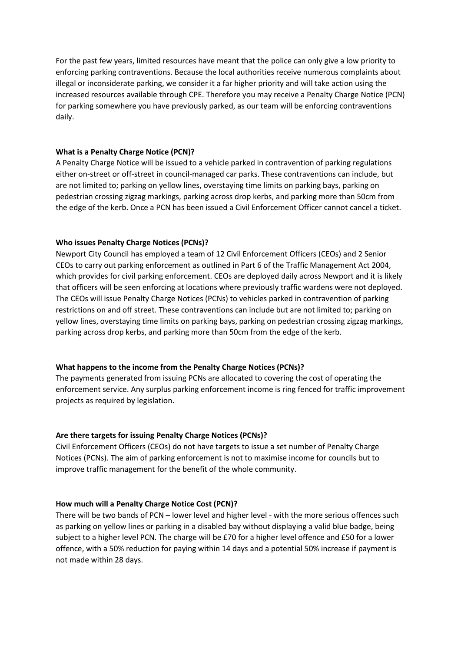For the past few years, limited resources have meant that the police can only give a low priority to enforcing parking contraventions. Because the local authorities receive numerous complaints about illegal or inconsiderate parking, we consider it a far higher priority and will take action using the increased resources available through CPE. Therefore you may receive a Penalty Charge Notice (PCN) for parking somewhere you have previously parked, as our team will be enforcing contraventions daily.

#### **What is a Penalty Charge Notice (PCN)?**

A Penalty Charge Notice will be issued to a vehicle parked in contravention of parking regulations either on-street or off-street in council-managed car parks. These contraventions can include, but are not limited to; parking on yellow lines, overstaying time limits on parking bays, parking on pedestrian crossing zigzag markings, parking across drop kerbs, and parking more than 50cm from the edge of the kerb. Once a PCN has been issued a Civil Enforcement Officer cannot cancel a ticket.

#### **Who issues Penalty Charge Notices (PCNs)?**

Newport City Council has employed a team of 12 Civil Enforcement Officers (CEOs) and 2 Senior CEOs to carry out parking enforcement as outlined in Part 6 of the Traffic Management Act 2004, which provides for civil parking enforcement. CEOs are deployed daily across Newport and it is likely that officers will be seen enforcing at locations where previously traffic wardens were not deployed. The CEOs will issue Penalty Charge Notices (PCNs) to vehicles parked in contravention of parking restrictions on and off street. These contraventions can include but are not limited to; parking on yellow lines, overstaying time limits on parking bays, parking on pedestrian crossing zigzag markings, parking across drop kerbs, and parking more than 50cm from the edge of the kerb.

#### **What happens to the income from the Penalty Charge Notices (PCNs)?**

The payments generated from issuing PCNs are allocated to covering the cost of operating the enforcement service. Any surplus parking enforcement income is ring fenced for traffic improvement projects as required by legislation.

# **Are there targets for issuing Penalty Charge Notices (PCNs)?**

Civil Enforcement Officers (CEOs) do not have targets to issue a set number of Penalty Charge Notices (PCNs). The aim of parking enforcement is not to maximise income for councils but to improve traffic management for the benefit of the whole community.

# **How much will a Penalty Charge Notice Cost (PCN)?**

There will be two bands of PCN – lower level and higher level - with the more serious offences such as parking on yellow lines or parking in a disabled bay without displaying a valid blue badge, being subject to a higher level PCN. The charge will be £70 for a higher level offence and £50 for a lower offence, with a 50% reduction for paying within 14 days and a potential 50% increase if payment is not made within 28 days.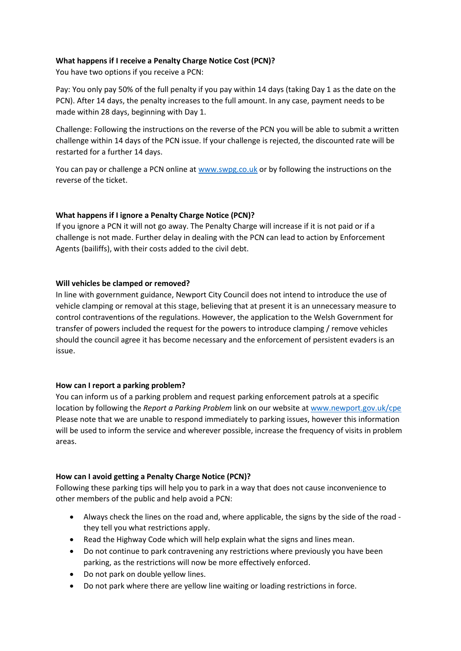# **What happens if I receive a Penalty Charge Notice Cost (PCN)?**

You have two options if you receive a PCN:

Pay: You only pay 50% of the full penalty if you pay within 14 days (taking Day 1 as the date on the PCN). After 14 days, the penalty increases to the full amount. In any case, payment needs to be made within 28 days, beginning with Day 1.

Challenge: Following the instructions on the reverse of the PCN you will be able to submit a written challenge within 14 days of the PCN issue. If your challenge is rejected, the discounted rate will be restarted for a further 14 days.

You can pay or challenge a PCN online at [www.swpg.co.uk](http://www.swpg.co.uk/) or by following the instructions on the reverse of the ticket.

# **What happens if I ignore a Penalty Charge Notice (PCN)?**

If you ignore a PCN it will not go away. The Penalty Charge will increase if it is not paid or if a challenge is not made. Further delay in dealing with the PCN can lead to action by Enforcement Agents (bailiffs), with their costs added to the civil debt.

# **Will vehicles be clamped or removed?**

In line with government guidance, Newport City Council does not intend to introduce the use of vehicle clamping or removal at this stage, believing that at present it is an unnecessary measure to control contraventions of the regulations. However, the application to the Welsh Government for transfer of powers included the request for the powers to introduce clamping / remove vehicles should the council agree it has become necessary and the enforcement of persistent evaders is an issue.

# **How can I report a parking problem?**

You can inform us of a parking problem and request parking enforcement patrols at a specific location by following the *Report a Parking Problem* link on our website at [www.newport.gov.uk/cpe](http://www.newport.gov.uk/cpe) Please note that we are unable to respond immediately to parking issues, however this information will be used to inform the service and wherever possible, increase the frequency of visits in problem areas.

# **How can I avoid getting a Penalty Charge Notice (PCN)?**

Following these parking tips will help you to park in a way that does not cause inconvenience to other members of the public and help avoid a PCN:

- Always check the lines on the road and, where applicable, the signs by the side of the road they tell you what restrictions apply.
- Read the Highway Code which will help explain what the signs and lines mean.
- Do not continue to park contravening any restrictions where previously you have been parking, as the restrictions will now be more effectively enforced.
- Do not park on double yellow lines.
- Do not park where there are yellow line waiting or loading restrictions in force.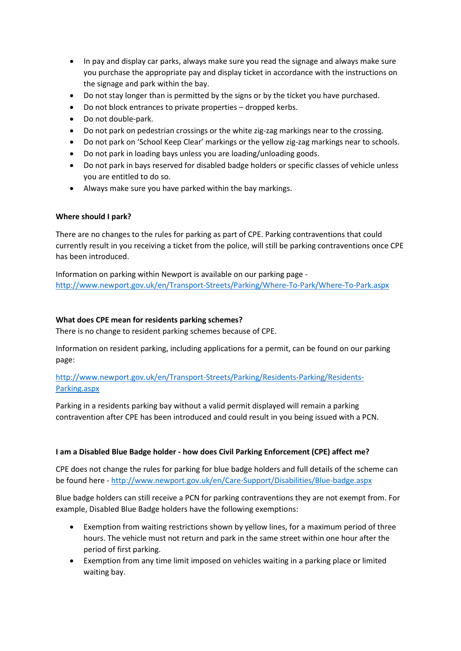- In pay and display car parks, always make sure you read the signage and always make sure you purchase the appropriate pay and display ticket in accordance with the instructions on the signage and park within the bay.
- Do not stay longer than is permitted by the signs or by the ticket you have purchased.
- Do not block entrances to private properties dropped kerbs.
- Do not double-park.
- Do not park on pedestrian crossings or the white zig-zag markings near to the crossing.
- Do not park on 'School Keep Clear' markings or the yellow zig-zag markings near to schools.
- Do not park in loading bays unless you are loading/unloading goods.
- Do not park in bays reserved for disabled badge holders or specific classes of vehicle unless you are entitled to do so.
- Always make sure you have parked within the bay markings.

#### **Where should I park?**

There are no changes to the rules for parking as part of CPE. Parking contraventions that could currently result in you receiving a ticket from the police, will still be parking contraventions once CPE has been introduced.

Information on parking within Newport is available on our parking page <http://www.newport.gov.uk/en/Transport-Streets/Parking/Where-To-Park/Where-To-Park.aspx>

#### **What does CPE mean for residents parking schemes?**

There is no change to resident parking schemes because of CPE.

Information on resident parking, including applications for a permit, can be found on our parking page:

# [http://www.newport.gov.uk/en/Transport-Streets/Parking/Residents-Parking/Residents-](http://www.newport.gov.uk/en/Transport-Streets/Parking/Residents-Parking/Residents-Parking.aspx)[Parking.aspx](http://www.newport.gov.uk/en/Transport-Streets/Parking/Residents-Parking/Residents-Parking.aspx)

Parking in a residents parking bay without a valid permit displayed will remain a parking contravention after CPE has been introduced and could result in you being issued with a PCN.

#### **I am a Disabled Blue Badge holder - how does Civil Parking Enforcement (CPE) affect me?**

CPE does not change the rules for parking for blue badge holders and full details of the scheme can be found here - <http://www.newport.gov.uk/en/Care-Support/Disabilities/Blue-badge.aspx>

Blue badge holders can still receive a PCN for parking contraventions they are not exempt from. For example, Disabled Blue Badge holders have the following exemptions:

- Exemption from waiting restrictions shown by yellow lines, for a maximum period of three hours. The vehicle must not return and park in the same street within one hour after the period of first parking.
- Exemption from any time limit imposed on vehicles waiting in a parking place or limited waiting bay.